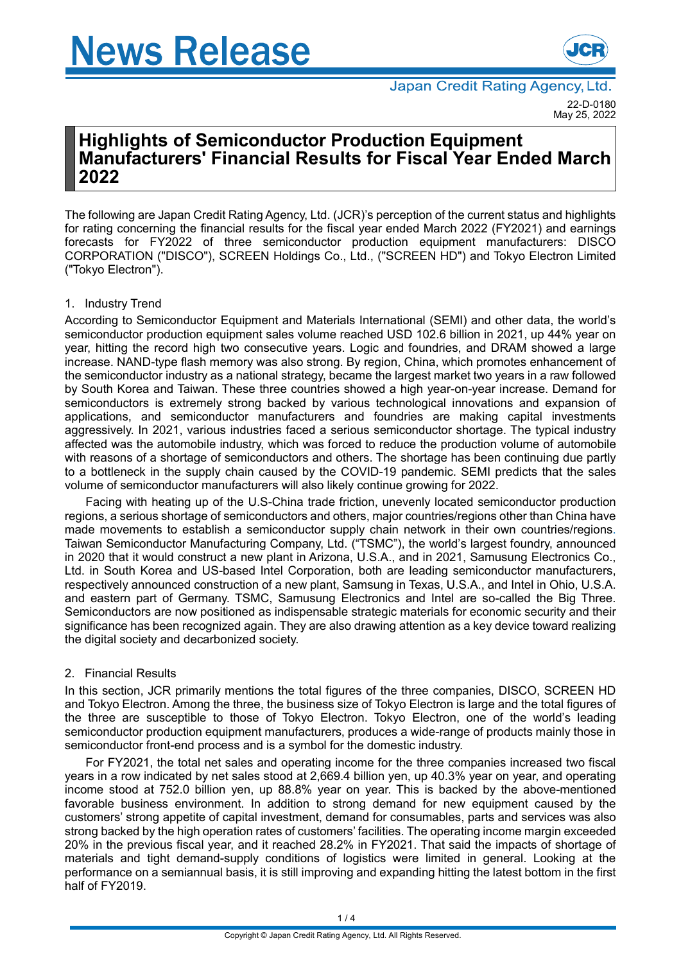# **News Release**



# **Highlights of Semiconductor Production Equipment Manufacturers' Financial Results for Fiscal Year Ended March 2022**

The following are Japan Credit Rating Agency, Ltd. (JCR)'s perception of the current status and highlights for rating concerning the financial results for the fiscal year ended March 2022 (FY2021) and earnings forecasts for FY2022 of three semiconductor production equipment manufacturers: DISCO CORPORATION ("DISCO"), SCREEN Holdings Co., Ltd., ("SCREEN HD") and Tokyo Electron Limited ("Tokyo Electron").

### 1. Industry Trend

According to Semiconductor Equipment and Materials International (SEMI) and other data, the world's semiconductor production equipment sales volume reached USD 102.6 billion in 2021, up 44% year on year, hitting the record high two consecutive years. Logic and foundries, and DRAM showed a large increase. NAND-type flash memory was also strong. By region, China, which promotes enhancement of the semiconductor industry as a national strategy, became the largest market two years in a raw followed by South Korea and Taiwan. These three countries showed a high year-on-year increase. Demand for semiconductors is extremely strong backed by various technological innovations and expansion of applications, and semiconductor manufacturers and foundries are making capital investments aggressively. In 2021, various industries faced a serious semiconductor shortage. The typical industry affected was the automobile industry, which was forced to reduce the production volume of automobile with reasons of a shortage of semiconductors and others. The shortage has been continuing due partly to a bottleneck in the supply chain caused by the COVID-19 pandemic. SEMI predicts that the sales volume of semiconductor manufacturers will also likely continue growing for 2022.

Facing with heating up of the U.S-China trade friction, unevenly located semiconductor production regions, a serious shortage of semiconductors and others, major countries/regions other than China have made movements to establish a semiconductor supply chain network in their own countries/regions. Taiwan Semiconductor Manufacturing Company, Ltd. ("TSMC"), the world's largest foundry, announced in 2020 that it would construct a new plant in Arizona, U.S.A., and in 2021, Samusung Electronics Co., Ltd. in South Korea and US-based Intel Corporation, both are leading semiconductor manufacturers, respectively announced construction of a new plant, Samsung in Texas, U.S.A., and Intel in Ohio, U.S.A. and eastern part of Germany. TSMC, Samusung Electronics and Intel are so-called the Big Three. Semiconductors are now positioned as indispensable strategic materials for economic security and their significance has been recognized again. They are also drawing attention as a key device toward realizing the digital society and decarbonized society.

## 2. Financial Results

In this section, JCR primarily mentions the total figures of the three companies, DISCO, SCREEN HD and Tokyo Electron. Among the three, the business size of Tokyo Electron is large and the total figures of the three are susceptible to those of Tokyo Electron. Tokyo Electron, one of the world's leading semiconductor production equipment manufacturers, produces a wide-range of products mainly those in semiconductor front-end process and is a symbol for the domestic industry.

For FY2021, the total net sales and operating income for the three companies increased two fiscal years in a row indicated by net sales stood at 2,669.4 billion yen, up 40.3% year on year, and operating income stood at 752.0 billion yen, up 88.8% year on year. This is backed by the above-mentioned favorable business environment. In addition to strong demand for new equipment caused by the customers' strong appetite of capital investment, demand for consumables, parts and services was also strong backed by the high operation rates of customers' facilities. The operating income margin exceeded 20% in the previous fiscal year, and it reached 28.2% in FY2021. That said the impacts of shortage of materials and tight demand-supply conditions of logistics were limited in general. Looking at the performance on a semiannual basis, it is still improving and expanding hitting the latest bottom in the first half of FY2019.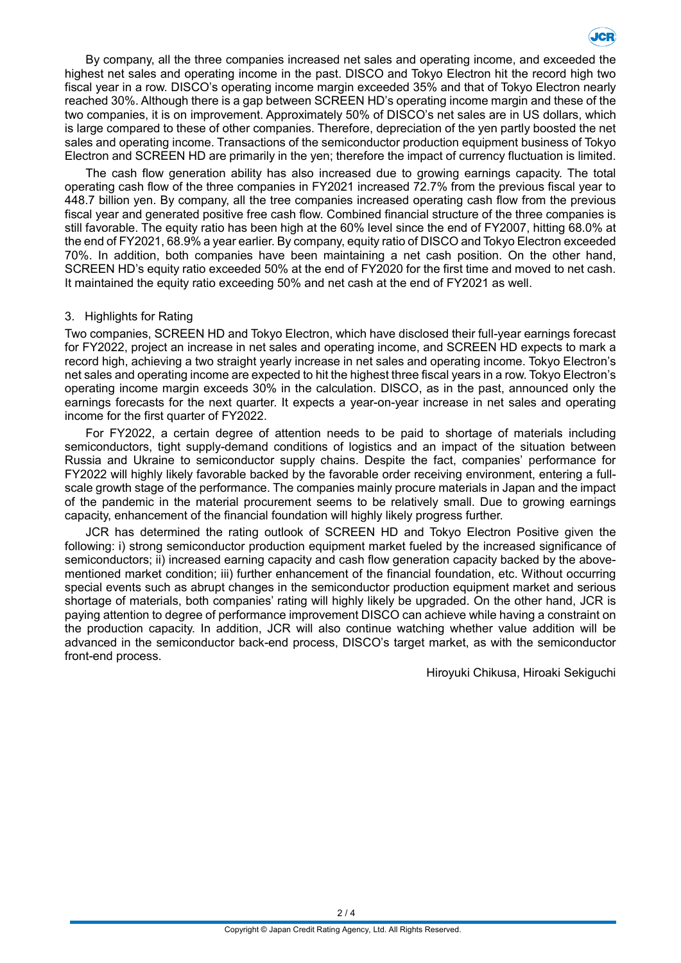

By company, all the three companies increased net sales and operating income, and exceeded the highest net sales and operating income in the past. DISCO and Tokyo Electron hit the record high two fiscal year in a row. DISCO's operating income margin exceeded 35% and that of Tokyo Electron nearly reached 30%. Although there is a gap between SCREEN HD's operating income margin and these of the two companies, it is on improvement. Approximately 50% of DISCO's net sales are in US dollars, which is large compared to these of other companies. Therefore, depreciation of the yen partly boosted the net sales and operating income. Transactions of the semiconductor production equipment business of Tokyo Electron and SCREEN HD are primarily in the yen; therefore the impact of currency fluctuation is limited.

The cash flow generation ability has also increased due to growing earnings capacity. The total operating cash flow of the three companies in FY2021 increased 72.7% from the previous fiscal year to 448.7 billion yen. By company, all the tree companies increased operating cash flow from the previous fiscal year and generated positive free cash flow. Combined financial structure of the three companies is still favorable. The equity ratio has been high at the 60% level since the end of FY2007, hitting 68.0% at the end of FY2021, 68.9% a year earlier. By company, equity ratio of DISCO and Tokyo Electron exceeded 70%. In addition, both companies have been maintaining a net cash position. On the other hand, SCREEN HD's equity ratio exceeded 50% at the end of FY2020 for the first time and moved to net cash. It maintained the equity ratio exceeding 50% and net cash at the end of FY2021 as well.

#### 3. Highlights for Rating

Two companies, SCREEN HD and Tokyo Electron, which have disclosed their full-year earnings forecast for FY2022, project an increase in net sales and operating income, and SCREEN HD expects to mark a record high, achieving a two straight yearly increase in net sales and operating income. Tokyo Electron's net sales and operating income are expected to hit the highest three fiscal years in a row. Tokyo Electron's operating income margin exceeds 30% in the calculation. DISCO, as in the past, announced only the earnings forecasts for the next quarter. It expects a year-on-year increase in net sales and operating income for the first quarter of FY2022.

For FY2022, a certain degree of attention needs to be paid to shortage of materials including semiconductors, tight supply-demand conditions of logistics and an impact of the situation between Russia and Ukraine to semiconductor supply chains. Despite the fact, companies' performance for FY2022 will highly likely favorable backed by the favorable order receiving environment, entering a fullscale growth stage of the performance. The companies mainly procure materials in Japan and the impact of the pandemic in the material procurement seems to be relatively small. Due to growing earnings capacity, enhancement of the financial foundation will highly likely progress further.

JCR has determined the rating outlook of SCREEN HD and Tokyo Electron Positive given the following: i) strong semiconductor production equipment market fueled by the increased significance of semiconductors; ii) increased earning capacity and cash flow generation capacity backed by the abovementioned market condition; iii) further enhancement of the financial foundation, etc. Without occurring special events such as abrupt changes in the semiconductor production equipment market and serious shortage of materials, both companies' rating will highly likely be upgraded. On the other hand, JCR is paying attention to degree of performance improvement DISCO can achieve while having a constraint on the production capacity. In addition, JCR will also continue watching whether value addition will be advanced in the semiconductor back-end process, DISCO's target market, as with the semiconductor front-end process.

Hiroyuki Chikusa, Hiroaki Sekiguchi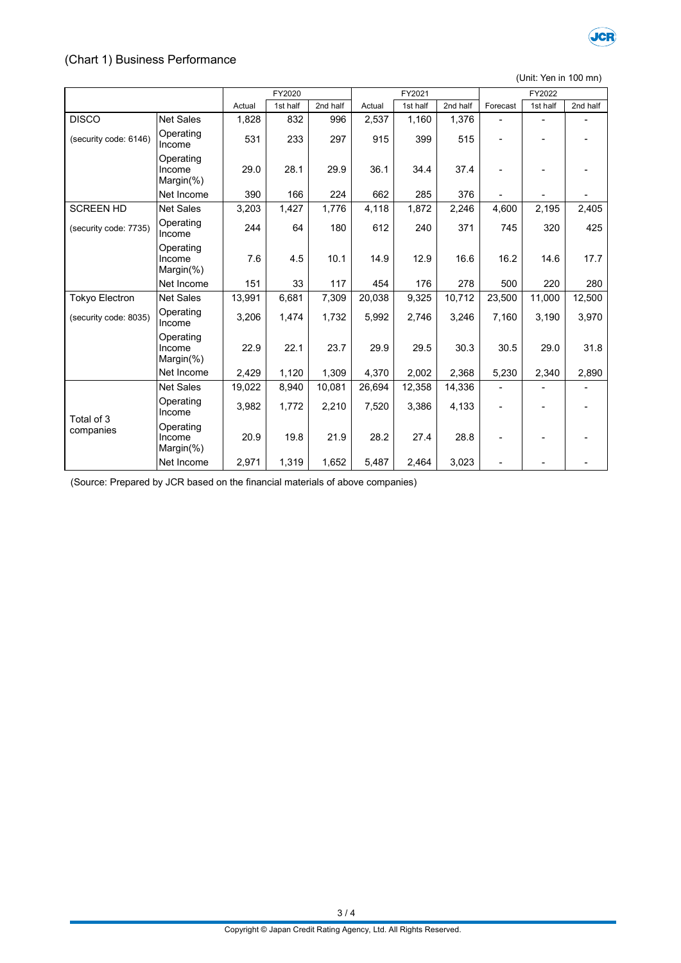

# (Chart 1) Business Performance

(Unit: Yen in 100 mn)

|                         |                                      |        | FY2020   |          | FY2021 |          | FY2022   |          |          |          |
|-------------------------|--------------------------------------|--------|----------|----------|--------|----------|----------|----------|----------|----------|
|                         |                                      | Actual | 1st half | 2nd half | Actual | 1st half | 2nd half | Forecast | 1st half | 2nd half |
| <b>DISCO</b>            | <b>Net Sales</b>                     | 1,828  | 832      | 996      | 2,537  | 1,160    | 1,376    |          |          |          |
| (security code: 6146)   | Operating<br>Income                  | 531    | 233      | 297      | 915    | 399      | 515      |          |          |          |
|                         | Operating<br>Income<br>Margin(%)     | 29.0   | 28.1     | 29.9     | 36.1   | 34.4     | 37.4     |          |          |          |
|                         | Net Income                           | 390    | 166      | 224      | 662    | 285      | 376      |          |          |          |
| <b>SCREEN HD</b>        | <b>Net Sales</b>                     | 3,203  | 1,427    | 1,776    | 4,118  | 1,872    | 2,246    | 4,600    | 2,195    | 2,405    |
| (security code: 7735)   | Operating<br>Income                  | 244    | 64       | 180      | 612    | 240      | 371      | 745      | 320      | 425      |
|                         | Operating<br>Income<br>Margin(%)     | 7.6    | 4.5      | 10.1     | 14.9   | 12.9     | 16.6     | 16.2     | 14.6     | 17.7     |
|                         | Net Income                           | 151    | 33       | 117      | 454    | 176      | 278      | 500      | 220      | 280      |
| Tokyo Electron          | <b>Net Sales</b>                     | 13,991 | 6,681    | 7,309    | 20,038 | 9,325    | 10,712   | 23,500   | 11,000   | 12,500   |
| (security code: 8035)   | Operating<br>Income                  | 3,206  | 1,474    | 1,732    | 5,992  | 2,746    | 3,246    | 7,160    | 3,190    | 3,970    |
|                         | Operating<br>Income<br>Margin(%)     | 22.9   | 22.1     | 23.7     | 29.9   | 29.5     | 30.3     | 30.5     | 29.0     | 31.8     |
|                         | Net Income                           | 2,429  | 1,120    | 1,309    | 4,370  | 2,002    | 2,368    | 5,230    | 2,340    | 2,890    |
|                         | <b>Net Sales</b>                     | 19,022 | 8,940    | 10,081   | 26,694 | 12,358   | 14,336   |          |          |          |
| Total of 3<br>companies | Operating<br>Income                  | 3,982  | 1,772    | 2,210    | 7,520  | 3,386    | 4,133    |          |          |          |
|                         | Operating<br>Income<br>Margin $(\%)$ | 20.9   | 19.8     | 21.9     | 28.2   | 27.4     | 28.8     |          |          |          |
|                         | Net Income                           | 2,971  | 1,319    | 1,652    | 5,487  | 2,464    | 3,023    |          |          |          |

(Source: Prepared by JCR based on the financial materials of above companies)